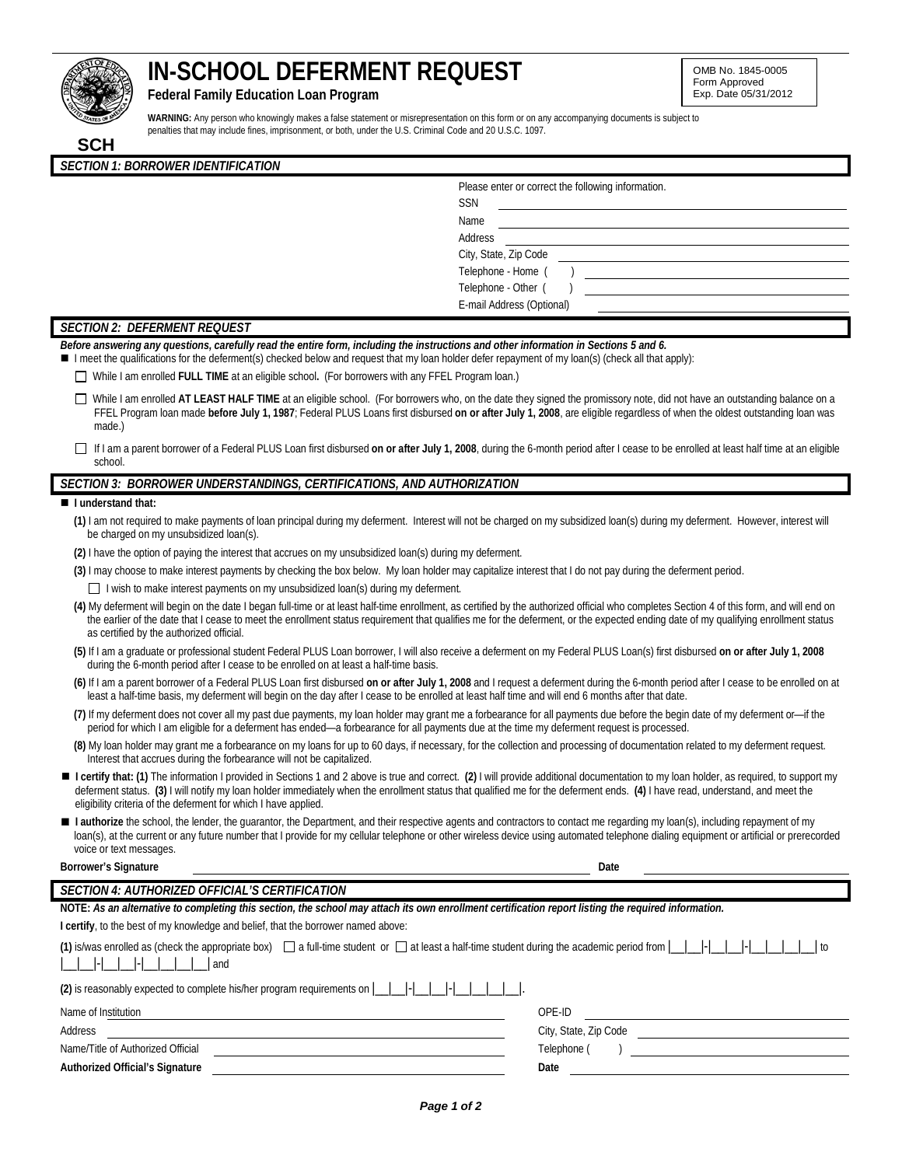# **IN-SCHOOL DEFERMENT REQUEST**

**Federal Family Education Loan Program** 

**WARNING:** Any person who knowingly makes a false statement or misrepresentation on this form or on any accompanying documents is subject to penalties that may include fines, imprisonment, or both, under the U.S. Criminal Code and 20 U.S.C. 1097.

| <b>SSN</b>                |
|---------------------------|
| Name                      |
| Address                   |
| City, State, Zip Code     |
| Telephone - Home (        |
| Telephone - Other (       |
| E-mail Address (Optional) |

# *SECTION 2: DEFERMENT REQUEST*

*SECTION 1: BORROWER IDENTIFICATION*

*Before answering any questions, carefully read the entire form, including the instructions and other information in Sections 5 and 6.*

I meet the qualifications for the deferment(s) checked below and request that my loan holder defer repayment of my loan(s) (check all that apply):

While I am enrolled **FULL TIME** at an eligible school**.** (For borrowers with any FFEL Program loan.)

□ While I am enrolled AT LEAST HALF TIME at an eligible school. (For borrowers who, on the date they signed the promissory note, did not have an outstanding balance on a FFEL Program loan made **before July 1, 1987**; Federal PLUS Loans first disbursed **on or after July 1, 2008**, are eligible regardless of when the oldest outstanding loan was made.)

 If I am a parent borrower of a Federal PLUS Loan first disbursed **on or after July 1, 2008**, during the 6-month period after I cease to be enrolled at least half time at an eligible school.

# *SECTION 3: BORROWER UNDERSTANDINGS, CERTIFICATIONS, AND AUTHORIZATION*

#### **I understand that:**

| (1) I am not required to make payments of loan principal during my deferment. Interest will not be charged on my subsidized loan(s) during my deferment. However, interest will<br>be charged on my unsubsidized loan(s).                                                                                                                                                                                                                     |
|-----------------------------------------------------------------------------------------------------------------------------------------------------------------------------------------------------------------------------------------------------------------------------------------------------------------------------------------------------------------------------------------------------------------------------------------------|
| (2) I have the option of paying the interest that accrues on my unsubsidized loan(s) during my deferment.                                                                                                                                                                                                                                                                                                                                     |
| (3) I may choose to make interest payments by checking the box below. My loan holder may capitalize interest that I do not pay during the deferment period.                                                                                                                                                                                                                                                                                   |
| $\Box$ I wish to make interest payments on my unsubsidized loan(s) during my deferment.                                                                                                                                                                                                                                                                                                                                                       |
| (4) My deferment will begin on the date I began full-time or at least half-time enrollment, as certified by the authorized official who completes Section 4 of this form, and will end on<br>the earlier of the date that I cease to meet the enrollment status requirement that qualifies me for the deferment, or the expected ending date of my qualifying enrollment status<br>as certified by the authorized official.                   |
| (5) If I am a graduate or professional student Federal PLUS Loan borrower, I will also receive a deferment on my Federal PLUS Loan(s) first disbursed on or after July 1, 2008<br>during the 6-month period after I cease to be enrolled on at least a half-time basis.                                                                                                                                                                       |
| (6) If I am a parent borrower of a Federal PLUS Loan first disbursed on or after July 1, 2008 and I request a deferment during the 6-month period after I cease to be enrolled on at<br>least a half-time basis, my deferment will begin on the day after I cease to be enrolled at least half time and will end 6 months after that date.                                                                                                    |
| (7) If my deferment does not cover all my past due payments, my loan holder may grant me a forbearance for all payments due before the begin date of my deferment or-if the<br>period for which I am eligible for a deferment has ended—a forbearance for all payments due at the time my deferment request is processed.                                                                                                                     |
| (8) My loan holder may grant me a forbearance on my loans for up to 60 days, if necessary, for the collection and processing of documentation related to my deferment request.<br>Interest that accrues during the forbearance will not be capitalized.                                                                                                                                                                                       |
| ■ I certify that: (1) The information I provided in Sections 1 and 2 above is true and correct. (2) I will provide additional documentation to my loan holder, as required, to support my<br>deferment status. (3) I will notify my loan holder immediately when the enrollment status that qualified me for the deferment ends. (4) I have read, understand, and meet the<br>eligibility criteria of the deferment for which I have applied. |
| I authorize the school, the lender, the quarantor, the Department, and their respective agents and contractors to contact me regarding my loan(s), including repayment of my<br>loan(s), at the current or any future number that I provide for my cellular telephone or other wireless device using automated telephone dialing equipment or artificial or prerecorded<br>voice or text messages.                                            |
| <b>Borrower's Signature</b><br>Date                                                                                                                                                                                                                                                                                                                                                                                                           |
| <b>SECTION 4: AUTHORIZED OFFICIAL'S CERTIFICATION</b>                                                                                                                                                                                                                                                                                                                                                                                         |
| NOTE: As an alternative to completing this section, the school may attach its own enrollment certification report listing the required information.                                                                                                                                                                                                                                                                                           |
| I certify, to the best of my knowledge and belief, that the borrower named above:                                                                                                                                                                                                                                                                                                                                                             |
| (1) is/was enrolled as (check the appropriate box) $\Box$ a full-time student or $\Box$ at least a half-time student during the academic period from $\Box$<br>to<br>- 1-1<br>and                                                                                                                                                                                                                                                             |
| (2) is reasonably expected to complete his/her program requirements on $\lfloor$                                                                                                                                                                                                                                                                                                                                                              |

| Name of Institution | . |
|---------------------|---|
|                     |   |

Name/Title of Authorized Official **Authorized Official's Signature Date**

| Name of Institution               | OPE-ID                |  |  |  |
|-----------------------------------|-----------------------|--|--|--|
| Address                           | City, State, Zip Code |  |  |  |
| Name/Title of Authorized Official | Telephone             |  |  |  |
|                                   |                       |  |  |  |